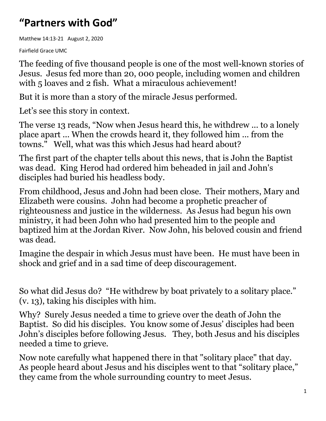## **"Partners with God"**

Matthew 14:13-21 August 2, 2020

Fairfield Grace UMC

The feeding of five thousand people is one of the most well-known stories of Jesus. Jesus fed more than 20, 000 people, including women and children with 5 loaves and 2 fish. What a miraculous achievement!

But it is more than a story of the miracle Jesus performed.

Let's see this story in context.

The verse 13 reads, "Now when Jesus heard this, he withdrew ... to a lonely place apart ... When the crowds heard it, they followed him ... from the towns." Well, what was this which Jesus had heard about?

The first part of the chapter tells about this news, that is John the Baptist was dead. King Herod had ordered him beheaded in jail and John's disciples had buried his headless body.

From childhood, Jesus and John had been close. Their mothers, Mary and Elizabeth were cousins. John had become a prophetic preacher of righteousness and justice in the wilderness. As Jesus had begun his own ministry, it had been John who had presented him to the people and baptized him at the Jordan River. Now John, his beloved cousin and friend was dead.

Imagine the despair in which Jesus must have been. He must have been in shock and grief and in a sad time of deep discouragement.

So what did Jesus do? "He withdrew by boat privately to a solitary place." (v. 13), taking his disciples with him.

Why? Surely Jesus needed a time to grieve over the death of John the Baptist. So did his disciples. You know some of Jesus' disciples had been John's disciples before following Jesus. They, both Jesus and his disciples needed a time to grieve.

Now note carefully what happened there in that "solitary place" that day. As people heard about Jesus and his disciples went to that "solitary place," they came from the whole surrounding country to meet Jesus.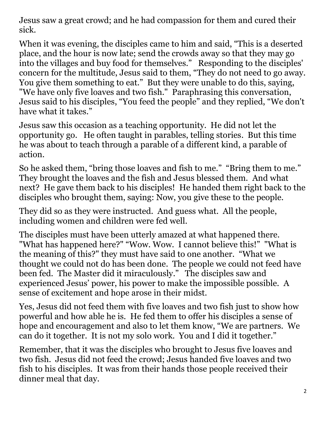Jesus saw a great crowd; and he had compassion for them and cured their sick.

When it was evening, the disciples came to him and said, "This is a deserted place, and the hour is now late; send the crowds away so that they may go into the villages and buy food for themselves." Responding to the disciples' concern for the multitude, Jesus said to them, "They do not need to go away. You give them something to eat." But they were unable to do this, saying, "We have only five loaves and two fish." Paraphrasing this conversation, Jesus said to his disciples, "You feed the people" and they replied, "We don't have what it takes."

Jesus saw this occasion as a teaching opportunity. He did not let the opportunity go. He often taught in parables, telling stories. But this time he was about to teach through a parable of a different kind, a parable of action.

So he asked them, "bring those loaves and fish to me." "Bring them to me." They brought the loaves and the fish and Jesus blessed them. And what next? He gave them back to his disciples! He handed them right back to the disciples who brought them, saying: Now, you give these to the people.

They did so as they were instructed. And guess what. All the people, including women and children were fed well.

The disciples must have been utterly amazed at what happened there. "What has happened here?" "Wow. Wow. I cannot believe this!" "What is the meaning of this?" they must have said to one another. "What we thought we could not do has been done. The people we could not feed have been fed. The Master did it miraculously." The disciples saw and experienced Jesus' power, his power to make the impossible possible. A sense of excitement and hope arose in their midst.

Yes, Jesus did not feed them with five loaves and two fish just to show how powerful and how able he is. He fed them to offer his disciples a sense of hope and encouragement and also to let them know, "We are partners. We can do it together. It is not my solo work. You and I did it together."

Remember, that it was the disciples who brought to Jesus five loaves and two fish. Jesus did not feed the crowd; Jesus handed five loaves and two fish to his disciples. It was from their hands those people received their dinner meal that day.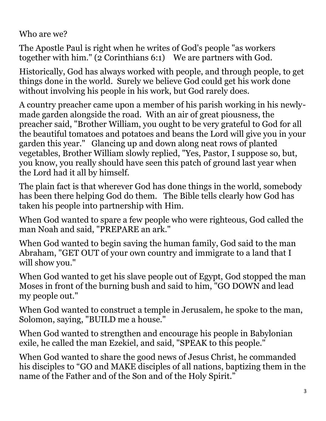Who are we?

The Apostle Paul is right when he writes of God's people "as workers together with him." (2 Corinthians 6:1) We are partners with God.

Historically, God has always worked with people, and through people, to get things done in the world. Surely we believe God could get his work done without involving his people in his work, but God rarely does.

A country preacher came upon a member of his parish working in his newlymade garden alongside the road. With an air of great piousness, the preacher said, "Brother William, you ought to be very grateful to God for all the beautiful tomatoes and potatoes and beans the Lord will give you in your garden this year." Glancing up and down along neat rows of planted vegetables, Brother William slowly replied, "Yes, Pastor, I suppose so, but, you know, you really should have seen this patch of ground last year when the Lord had it all by himself.

The plain fact is that wherever God has done things in the world, somebody has been there helping God do them. The Bible tells clearly how God has taken his people into partnership with Him.

When God wanted to spare a few people who were righteous, God called the man Noah and said, "PREPARE an ark."

When God wanted to begin saving the human family, God said to the man Abraham, "GET OUT of your own country and immigrate to a land that I will show you."

When God wanted to get his slave people out of Egypt, God stopped the man Moses in front of the burning bush and said to him, "GO DOWN and lead my people out."

When God wanted to construct a temple in Jerusalem, he spoke to the man, Solomon, saying, "BUILD me a house."

When God wanted to strengthen and encourage his people in Babylonian exile, he called the man Ezekiel, and said, "SPEAK to this people."

When God wanted to share the good news of Jesus Christ, he commanded his disciples to "GO and MAKE disciples of all nations, baptizing them in the name of the Father and of the Son and of the Holy Spirit."